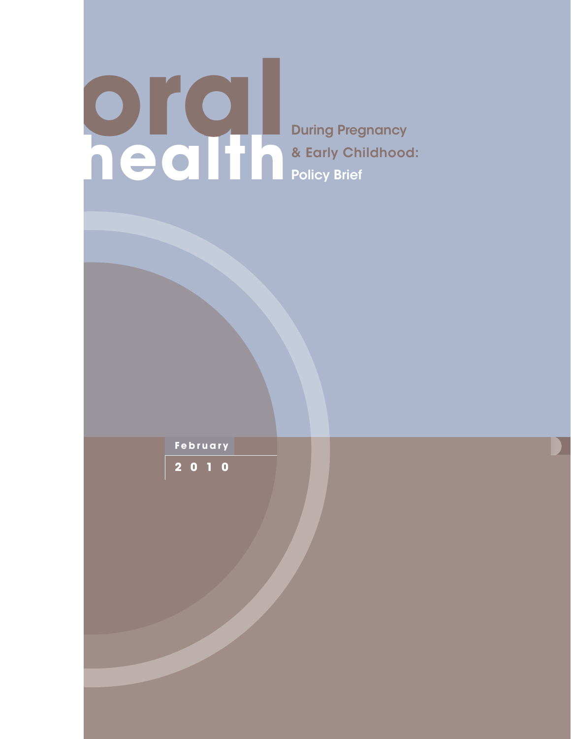# **oral** During Pregnancy<br> **Adding Strategy Childhood**<br>
Policy Brief & Early Childhood: Policy Brief

**F e b r u a r y**

**2 0 1 0**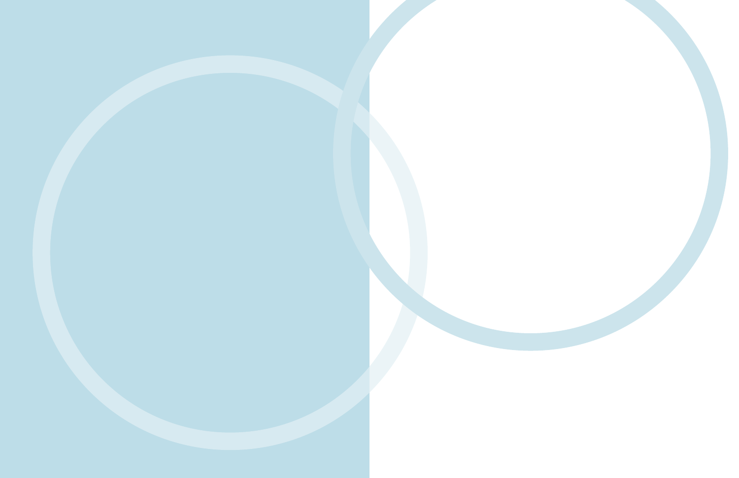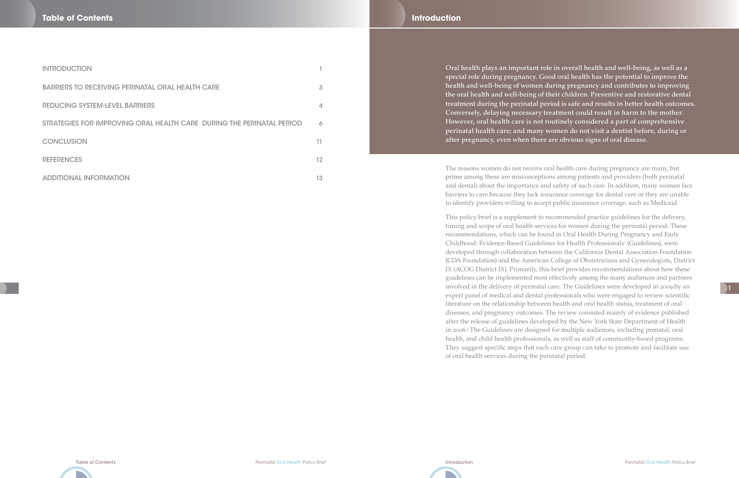The reasons women do not receive oral health care during pregnancy are many, but prime among these are misconceptions among patients and providers (both perinatal and dental) about the importance and safety of such care. In addition, many women face barriers to care because they lack insurance coverage for dental care or they are unable to identify providers willing to accept public insurance coverage, such as Medicaid.

| <b>INTRODUCTION</b>                                                   |     |
|-----------------------------------------------------------------------|-----|
| <b>BARRIERS TO RECEIVING PERINATAL ORAL HEALTH CARE</b>               | 3   |
| <b>REDUCING SYSTEM-LEVEL BARRIERS</b>                                 | 4   |
| STRATEGIES FOR IMPROVING ORAL HEALTH CARE DURING THE PERINATAL PERIOD | 6   |
| <b>CONCLUSION</b>                                                     | 11. |
| <b>REFERENCES</b>                                                     | 12  |
| <b>ADDITIONAL INFORMATION</b>                                         | 13  |

ole in overall health and well-being, as well as a  $\delta$ ood oral health has the potential to improve the during pregnancy and contributes to improving their children. Preventive and restorative dental eriod is safe and results in better health outcomes. treatment could result in harm to the mother. routinely considered a part of comprehensive women do not visit a dentist before, during or e are obvious signs of oral disease.

This policy brief is a supplement to recommended practice guidelines for the delivery, timing and scope of oral health services for women during the perinatal period. These recommendations, which can be found in Oral Health During Pregnancy and Early Childhood: Evidence-Based Guidelines for Health Professionals<sup>1</sup> (Guidelines), were developed through collaboration between the California Dental Association Foundation (CDA Foundation) and the American College of Obstetricians and Gynecologists, District IX (ACOG District IX). Primarily, this brief provides recommendations about how these guidelines can be implemented most effectively among the many audiences and partners involved in the delivery of perinatal care. The Guidelines were developed in 2009 by an expert panel of medical and dental professionals who were engaged to review scientific literature on the relationship between health and oral health status, treatment of oral diseases, and pregnancy outcomes. The review consisted mainly of evidence published after the release of guidelines developed by the New York State Department of Health in 2006.2 The Guidelines are designed for multiple audiences, including prenatal, oral health, and child health professionals, as well as staff of community-based programs. They suggest specific steps that each care group can take to promote and facilitate use of oral health services during the perinatal period.

| Oral health plays an important r  |
|-----------------------------------|
| special role during pregnancy. G  |
| health and well-being of women    |
| the oral health and well-being of |
| treatment during the perinatal p  |
| Conversely, delaying necessary    |
| However, oral health care is not  |
| perinatal health care; and many   |
| after pregnancy, even when ther   |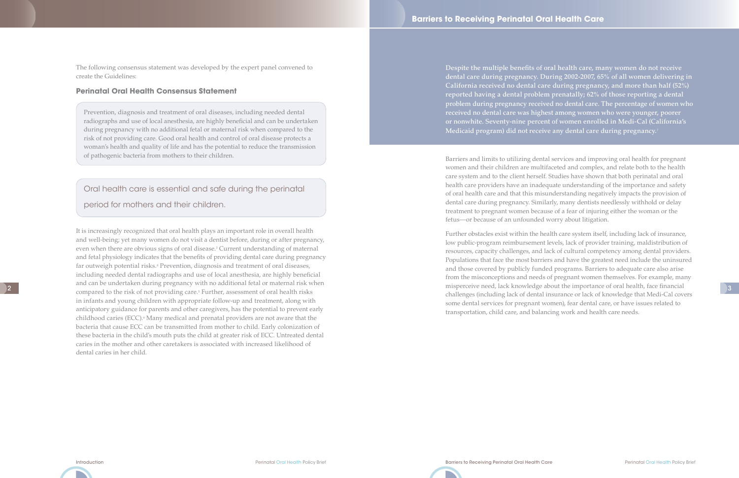The following consensus statement was developed by the expert panel convened to create the Guidelines:

#### **Perinatal Oral Health Consensus Statement**

It is increasingly recognized that oral health plays an important role in overall health and well-being; yet many women do not visit a dentist before, during or after pregnancy, even when there are obvious signs of oral disease.3 Current understanding of maternal and fetal physiology indicates that the benefits of providing dental care during pregnancy far outweigh potential risks.4 Prevention, diagnosis and treatment of oral diseases, including needed dental radiographs and use of local anesthesia, are highly beneficial and can be undertaken during pregnancy with no additional fetal or maternal risk when compared to the risk of not providing care.5 Further, assessment of oral health risks in infants and young children with appropriate follow-up and treatment, along with

Despite the multiple benefits of oral health care, many women do not receive dental care during pregnancy. During 2002-2007, 65% of all women delivering in California received no dental care during pregnancy, and more than half (52%) reported having a dental problem prenatally; 62% of those reporting a dental problem during pregnancy received no dental care. The percentage of women who received no dental care was highest among women who were younger, poorer or nonwhite. Seventy-nine percent of women enrolled in Medi-Cal (California's Medicaid program) did not receive any dental care during pregnancy. $7$ 

anticipatory guidance for parents and other caregivers, has the potential to prevent early childhood caries (ECC).<sup>6</sup> Many medical and prenatal providers are not aware that the bacteria that cause ECC can be transmitted from mother to child. Early colonization of these bacteria in the child's mouth puts the child at greater risk of ECC. Untreated dental caries in the mother and other caretakers is associated with increased likelihood of dental caries in her child.

Prevention, diagnosis and treatment of oral diseases, including needed dental radiographs and use of local anesthesia, are highly beneficial and can be undertaken during pregnancy with no additional fetal or maternal risk when compared to the risk of not providing care. Good oral health and control of oral disease protects a woman's health and quality of life and has the potential to reduce the transmission of pathogenic bacteria from mothers to their children.

Oral health care is essential and safe during the perinatal period for mothers and their children.

Barriers and limits to utilizing dental services and improving oral health for pregnant women and their children are multifaceted and complex, and relate both to the health care system and to the client herself. Studies have shown that both perinatal and oral health care providers have an inadequate understanding of the importance and safety of oral health care and that this misunderstanding negatively impacts the provision of dental care during pregnancy. Similarly, many dentists needlessly withhold or delay treatment to pregnant women because of a fear of injuring either the woman or the fetus—or because of an unfounded worry about litigation.

Further obstacles exist within the health care system itself, including lack of insurance, low public-program reimbursement levels, lack of provider training, maldistribution of resources, capacity challenges, and lack of cultural competency among dental providers. Populations that face the most barriers and have the greatest need include the uninsured and those covered by publicly funded programs. Barriers to adequate care also arise from the misconceptions and needs of pregnant women themselves. For example, many misperceive need, lack knowledge about the importance of oral health, face financial challenges (including lack of dental insurance or lack of knowledge that Medi-Cal covers some dental services for pregnant women), fear dental care, or have issues related to transportation, child care, and balancing work and health care needs.

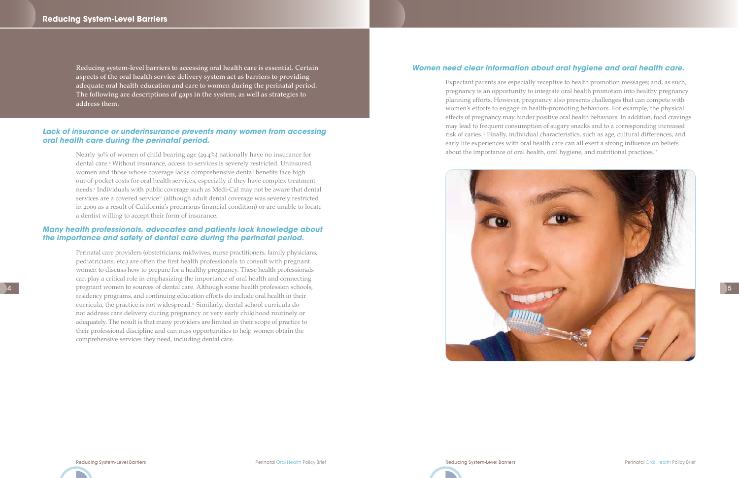Reducing system-level barriers to accessing oral health care is essential. Certain aspects of the oral health service delivery system act as barriers to providing adequate oral health education and care to women during the perinatal period. The following are descriptions of gaps in the system, as well as strategies to address them.

#### *Lack of insurance or underinsurance prevents many women from accessing oral health care during the perinatal period.*

Nearly 30% of women of child bearing age (29.4%) nationally have no insurance for dental care.8 Without insurance, access to services is severely restricted. Uninsured women and those whose coverage lacks comprehensive dental benefits face high out-of-pocket costs for oral health services, especially if they have complex treatment needs.9 Individuals with public coverage such as Medi-Cal may not be aware that dental services are a covered service<sup>10</sup> (although adult dental coverage was severely restricted in 2009 as a result of California's precarious financial condition) or are unable to locate a dentist willing to accept their form of insurance.

#### *Many health professionals, advocates and patients lack knowledge about the importance and safety of dental care during the perinatal period.*

Perinatal care providers (obstetricians, midwives, nurse practitioners, family physicians, pediatricians, etc.) are often the first health professionals to consult with pregnant women to discuss how to prepare for a healthy pregnancy. These health professionals can play a critical role in emphasizing the importance of oral health and connecting pregnant women to sources of dental care. Although some health profession schools, residency programs, and continuing education efforts do include oral health in their curricula, the practice is not widespread.11 Similarly, dental school curricula do not address care delivery during pregnancy or very early childhood routinely or adequately. The result is that many providers are limited in their scope of practice to their professional discipline and can miss opportunities to help women obtain the comprehensive services they need, including dental care.

### *Women need clear information about oral hygiene and oral health care.*

Expectant parents are especially receptive to health promotion messages; and, as such, pregnancy is an opportunity to integrate oral health promotion into healthy pregnancy planning efforts. However, pregnancy also presents challenges that can compete with women's efforts to engage in health-promoting behaviors. For example, the physical effects of pregnancy may hinder positive oral health behaviors. In addition, food cravings may lead to frequent consumption of sugary snacks and to a corresponding increased risk of caries.12 Finally, individual characteristics, such as age, cultural differences, and early life experiences with oral health care can all exert a strong influence on beliefs about the importance of oral health, oral hygiene, and nutritional practices.<sup>13</sup>



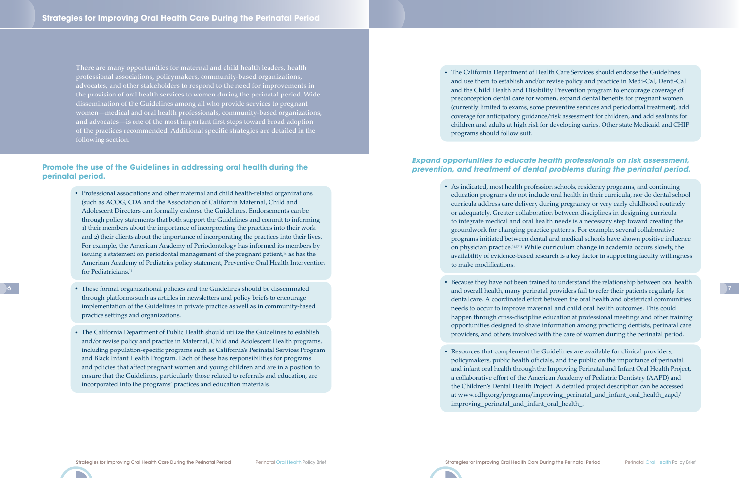There are many opportunities for maternal and child health leaders, health professional associations, policymakers, community-based organizations, advocates, and other stakeholders to respond to the need for improvements in the provision of oral health services to women during the perinatal period. Wide dissemination of the Guidelines among all who provide services to pregnant women—medical and oral health professionals, community-based organizations, and advocates—is one of the most important first steps toward broad adoption of the practices recommended. Additional specific strategies are detailed in the following section.

#### **Promote the use of the Guidelines in addressing oral health during the perinatal period.**

• The California Department of Health Care Services should endorse the Guidelines and use them to establish and/or revise policy and practice in Medi-Cal, Denti-Cal and the Child Health and Disability Prevention program to encourage coverage of preconception dental care for women, expand dental benefits for pregnant women (currently limited to exams, some preventive services and periodontal treatment), add coverage for anticipatory guidance/risk assessment for children, and add sealants for children and adults at high risk for developing caries. Other state Medicaid and CHIP programs should follow suit.

- • Professional associations and other maternal and child health-related organizations (such as ACOG, CDA and the Association of California Maternal, Child and Adolescent Directors can formally endorse the Guidelines. Endorsements can be through policy statements that both support the Guidelines and commit to informing 1) their members about the importance of incorporating the practices into their work and 2) their clients about the importance of incorporating the practices into their lives. For example, the American Academy of Periodontology has informed its members by issuing a statement on periodontal management of the pregnant patient, $14$  as has the American Academy of Pediatrics policy statement, Preventive Oral Health Intervention for Pediatricians.<sup>15</sup>
- These formal organizational policies and the Guidelines should be disseminated through platforms such as articles in newsletters and policy briefs to encourage implementation of the Guidelines in private practice as well as in community-based practice settings and organizations.
- The California Department of Public Health should utilize the Guidelines to establish and/or revise policy and practice in Maternal, Child and Adolescent Health programs, including population-specific programs such as California's Perinatal Services Program and Black Infant Health Program. Each of these has responsibilities for programs and policies that affect pregnant women and young children and are in a position to ensure that the Guidelines, particularly those related to referrals and education, are incorporated into the programs' practices and education materials.

Because they have not been trained to understand the relationship between oral health and overall health, many perinatal providers fail to refer their patients regularly for dental care. A coordinated effort between the oral health and obstetrical communities needs to occur to improve maternal and child oral health outcomes. This could happen through cross-discipline education at professional meetings and other training opportunities designed to share information among practicing dentists, perinatal care providers, and others involved with the care of women during the perinatal period.

Resources that complement the Guidelines are available for clinical providers, policymakers, public health officials, and the public on the importance of perinatal and infant oral health through the Improving Perinatal and Infant Oral Health Project, a collaborative effort of the American Academy of Pediatric Dentistry (AAPD) and the Children's Dental Health Project. A detailed project description can be accessed at www.cdhp.org/programs/improving\_perinatal\_and\_infant\_oral\_health\_aapd/



## *Expand opportunities to educate health professionals on risk assessment, prevention, and treatment of dental problems during the perinatal period.*

• As indicated, most health profession schools, residency programs, and continuing education programs do not include oral health in their curricula, nor do dental school curricula address care delivery during pregnancy or very early childhood routinely or adequately. Greater collaboration between disciplines in designing curricula to integrate medical and oral health needs is a necessary step toward creating the groundwork for changing practice patterns. For example, several collaborative programs initiated between dental and medical schools have shown positive influence on physician practice.16,17,18 While curriculum change in academia occurs slowly, the availability of evidence-based research is a key factor in supporting faculty willingness

- to make modifications.
- 
- improving\_perinatal\_and\_infant\_oral\_health\_.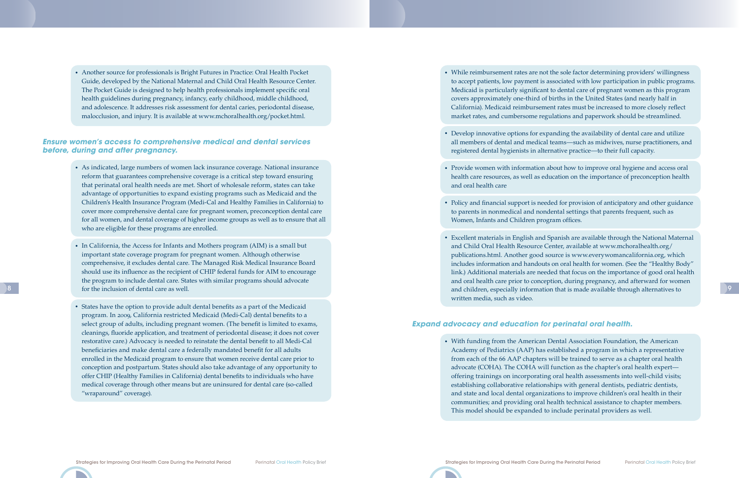• Another source for professionals is Bright Futures in Practice: Oral Health Pocket Guide, developed by the National Maternal and Child Oral Health Resource Center. The Pocket Guide is designed to help health professionals implement specific oral health guidelines during pregnancy, infancy, early childhood, middle childhood, and adolescence. It addresses risk assessment for dental caries, periodontal disease, malocclusion, and injury. It is available at www.mchoralhealth.org/pocket.html.

#### *Ensure women's access to comprehensive medical and dental services before, during and after pregnancy.*

- • As indicated, large numbers of women lack insurance coverage. National insurance reform that guarantees comprehensive coverage is a critical step toward ensuring that perinatal oral health needs are met. Short of wholesale reform, states can take advantage of opportunities to expand existing programs such as Medicaid and the Children's Health Insurance Program (Medi-Cal and Healthy Families in California) to cover more comprehensive dental care for pregnant women, preconception dental care for all women, and dental coverage of higher income groups as well as to ensure that all who are eligible for these programs are enrolled.
- In California, the Access for Infants and Mothers program (AIM) is a small but important state coverage program for pregnant women. Although otherwise comprehensive, it excludes dental care. The Managed Risk Medical Insurance Board should use its influence as the recipient of CHIP federal funds for AIM to encourage the program to include dental care. States with similar programs should advocate for the inclusion of dental care as well.
- States have the option to provide adult dental benefits as a part of the Medicaid program. In 2009, California restricted Medicaid (Medi-Cal) dental benefits to a select group of adults, including pregnant women. (The benefit is limited to exams, cleanings, fluoride application, and treatment of periodontal disease; it does not cover restorative care.) Advocacy is needed to reinstate the dental benefit to all Medi-Cal beneficiaries and make dental care a federally mandated benefit for all adults enrolled in the Medicaid program to ensure that women receive dental care prior to conception and postpartum. States should also take advantage of any opportunity to offer CHIP (Healthy Families in California) dental benefits to individuals who have medical coverage through other means but are uninsured for dental care (so-called "wraparound" coverage).

Develop innovative options for expanding the availability of dental care and utilize all members of dental and medical teams—such as midwives, nurse practitioners, and registered dental hygienists in alternative practice—to their full capacity.

• Provide women with information about how to improve oral hygiene and access oral health care resources, as well as education on the importance of preconception health

• Policy and financial support is needed for provision of anticipatory and other guidance to parents in nonmedical and nondental settings that parents frequent, such as

Excellent materials in English and Spanish are available through the National Maternal and Child Oral Health Resource Center, available at www.mchoralhealth.org/ publications.html. Another good source is www.everywomancalifornia.org, which includes information and handouts on oral health for women. (See the "Healthy Body" link.) Additional materials are needed that focus on the importance of good oral health and oral health care prior to conception, during pregnancy, and afterward for women and children, especially information that is made available through alternatives to

• With funding from the American Dental Association Foundation, the American Academy of Pediatrics (AAP) has established a program in which a representative from each of the 66 AAP chapters will be trained to serve as a chapter oral health advocate (COHA). The COHA will function as the chapter's oral health expert offering trainings on incorporating oral health assessments into well-child visits; establishing collaborative relationships with general dentists, pediatric dentists, and state and local dental organizations to improve children's oral health in their communities; and providing oral health technical assistance to chapter members. This model should be expanded to include perinatal providers as well.



• While reimbursement rates are not the sole factor determining providers' willingness to accept patients, low payment is associated with low participation in public programs. Medicaid is particularly significant to dental care of pregnant women as this program covers approximately one-third of births in the United States (and nearly half in California). Medicaid reimbursement rates must be increased to more closely reflect market rates, and cumbersome regulations and paperwork should be streamlined.

- 
- 
- and oral health care
- Women, Infants and Children program offices.
- written media, such as video.

#### *Expand advocacy and education for perinatal oral health.*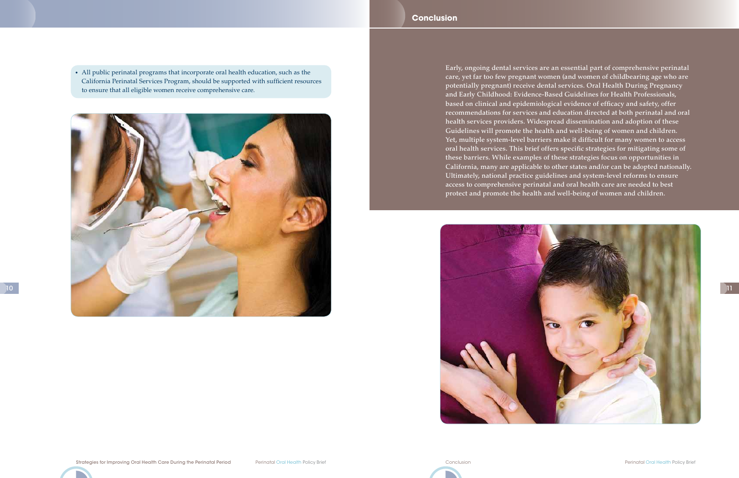

• All public perinatal programs that incorporate oral health education, such as the California Perinatal Services Program, should be supported with sufficient resources to ensure that all eligible women receive comprehensive care.



Early, ongoing dental services are an essential part of comprehensive perinatal care, yet far too few pregnant women (and women of childbearing age who are potentially pregnant) receive dental services. Oral Health During Pregnancy and Early Childhood: Evidence-Based Guidelines for Health Professionals, based on clinical and epidemiological evidence of efficacy and safety, offer recommendations for services and education directed at both perinatal and oral health services providers. Widespread dissemination and adoption of these Guidelines will promote the health and well-being of women and children. Yet, multiple system-level barriers make it difficult for many women to access oral health services. This brief offers specific strategies for mitigating some of these barriers. While examples of these strategies focus on opportunities in California, many are applicable to other states and/or can be adopted nationally. Ultimately, national practice guidelines and system-level reforms to ensure access to comprehensive perinatal and oral health care are needed to best protect and promote the health and well-being of women and children.





11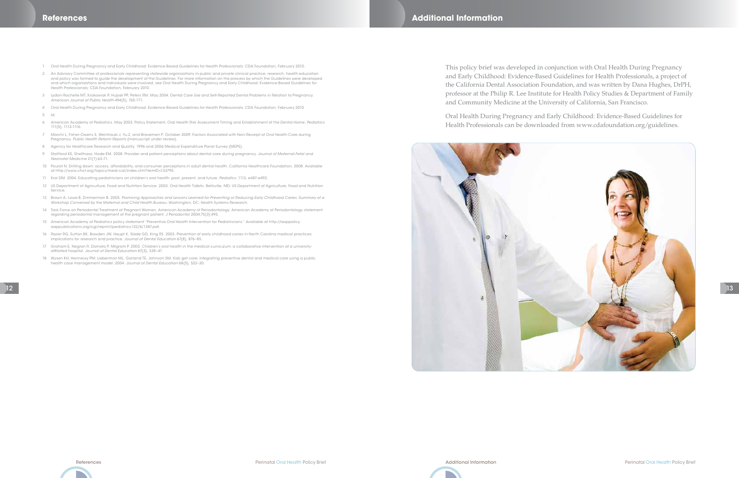- 1 Oral Health During Pregnancy and Early Childhood: Evidence-Based Guidelines for Health Professionals; CDA Foundation, February 2010.
- 2 An Advisory Committee of professionals representing statewide organizations in public and private clinical practice, research, health education and policy was formed to guide the development of the Guidelines. For more information on the process by which the Guidelines were developed and which organizations and individuals were involved, see Oral Health During Pregnancy and Early Childhood: Evidence-Based Guidelines for Health Professionals; CDA Foundation, February 2010.
- 3 Lydon-Rochelle MT, Krakowiak P, Hujoel PP, Peters RM. May 2004. Dental Care Use and Self-Reported Dental Problems in Relation to Pregnancy. *American Journal of Public Health* 494(5), 765-771.
- 4 Oral Health During Pregnancy and Early Childhood: Evidence-Based Guidelines for Health Professionals; CDA Foundation, February 2010
- 5 Id.



- 6 American Academy of Pediatrics. May 2003. Policy Statement. Oral Health Risk Assessment Timing and Establishment of the Dental Home. *Pediatrics* 111(5), 1113-1116.
- 7 Marchi L, Fisher-Owens S, Weintraub J, Yu Z, and Braveman P. October 2009. Factors Associated with Non-Receipt of Oral Health Care during Pregnancy. *Public Health Reform Reports* (manuscript under review).
- 8 Agency for Healthcare Research and Quality. 1996 and 2006 Medical Expenditure Panel Survey (MEPS).
- 9 Stattford KE, Shellhaas, Hade EM. 2008. Provider and patient perceptions about dental care during pregnancy. *Journal of Maternal-Fetal and Neonatal Medicine* 21(1):63-71.
- 10 Pourat N. Drilling down: access, affordability, and consumer perceptions in adult dental health. California Healthcare Foundation, 2008. Available at http://www.chcf.org/topics/medi-cal/index.cfm?itemID=133795.
- 11 Krol DM. 2004. Educating pediatricians on children's oral health: past, present, and future. *Pediatics*. 1113, e487-e492.
- 12 US Department of Agriculture, Food and Nutrition Service. 2003. Oral Health Tidbits. Beltsville, MD: US Department of Agriculture, Food and Nutrition Service.
- 13 Brown A, Lowe B, Zimmerman B. 2005. *Promising Approaches and Lessons Learned for Preventing or Reducing Early Childhood Caries: Summary of a Workshop Convened by the Maternal and Child Health Bureau*. Washington, DC: Health Systems Research.
- 14 Task Force on Periodontal Treatment of Pregnant Women, American Academy of Periodontology. American Academy of Periodontology statement regarding periodontal management of the pregnant patient. J Periodontol 2004;75(3):495.
- 15 American Academy of Pediatrics policy statement "Preventive Oral Health Intervention for Pediatricians." Available at http://aappolicy. aappublications.org/cgi/reprint/pediatrics;122/6/1387.pdf.
- 16 Rozier RG, Sutton BK, Bawden JW, Haupt K, Slade GD, King RS. 2003. Prevention of early childhood caries in North Carolina medical practices: implications for research and practice. *Journal of Dental Education* 67(8), 876–85.
- 17 Graham E, Negron R, Domoto P, Milgrom P. 2003. Children's oral health in the medical curriculum: a collaborative intervention at a universityaffiliated hospital. *Journal of Dental Education* 67(3), 338–47.
- 18 Wysen KH, Hennessy PM, Lieberman ML, Garland TE, Johnson SM. Kids get care: integrating preventive dental and medical care using a public health case management model. 2004. *Journal of Dental Education* 68(5), 522–30.

This policy brief was developed in conjunction with Oral Health During Pregnancy and Early Childhood: Evidence-Based Guidelines for Health Professionals, a project of the California Dental Association Foundation, and was written by Dana Hughes, DrPH, professor at the Philip R. Lee Institute for Health Policy Studies & Department of Family and Community Medicine at the University of California, San Francisco.

Oral Health During Pregnancy and Early Childhood: Evidence-Based Guidelines for Health Professionals can be downloaded from www.cdafoundation.org/guidelines.





12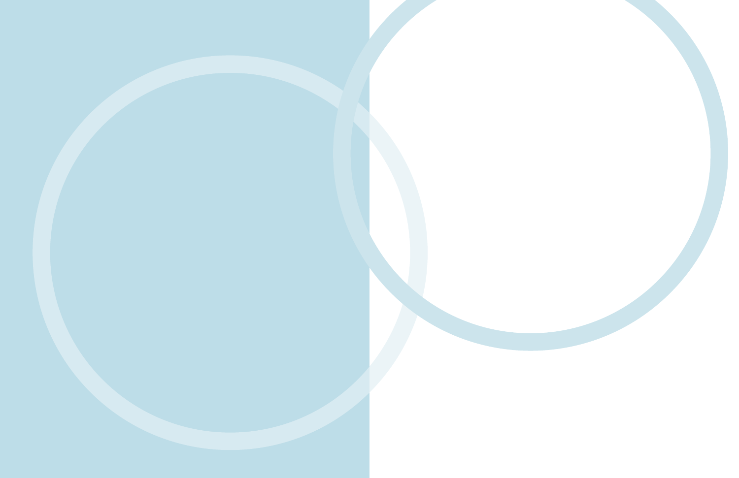